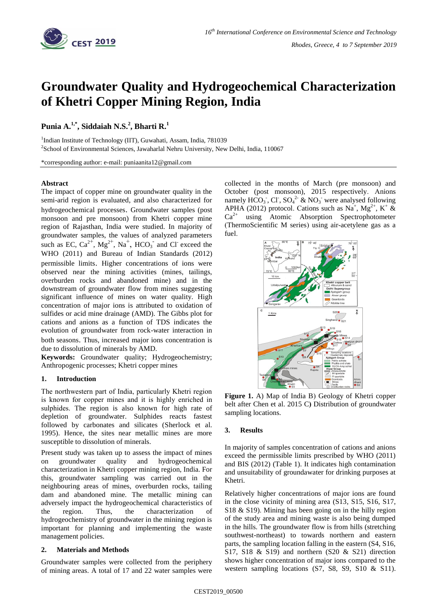

# **Groundwater Quality and Hydrogeochemical Characterization of Khetri Copper Mining Region, India**

## **Punia A. 1,\* , Siddaiah N.S.<sup>2</sup> , Bharti R.<sup>1</sup>**

<sup>1</sup>Indian Institute of Technology (IIT), Guwahati, Assam, India, 781039 <sup>2</sup>School of Environmental Sciences, Jawaharlal Nehru University, New Delhi, India, 110067

\*corresponding author: e-mail: puniaanita12@gmail.com

#### **Abstract**

The impact of copper mine on groundwater quality in the semi-arid region is evaluated, and also characterized for hydrogeochemical processes. Groundwater samples (post monsoon and pre monsoon) from Khetri copper mine region of Rajasthan, India were studied. In majority of groundwater samples, the values of analyzed parameters such as EC,  $Ca^{2+}$ ,  $Mg^{2+}$ ,  $Na^{+}$ ,  $HCO_3^-$  and Cl exceed the WHO (2011) and Bureau of Indian Standards (2012) permissible limits. Higher concentrations of ions were observed near the mining activities (mines, tailings, overburden rocks and abandoned mine) and in the downstream of groundwater flow from mines suggesting significant influence of mines on water quality. High concentration of major ions is attributed to oxidation of sulfides or acid mine drainage (AMD). The Gibbs plot for cations and anions as a function of TDS indicates the evolution of groundwater from rock-water interaction in both seasons. Thus, increased major ions concentration is due to dissolution of minerals by AMD.

**Keywords:** Groundwater quality; Hydrogeochemistry; Anthropogenic processes; Khetri copper mines

### **1. Introduction**

The northwestern part of India, particularly Khetri region is known for copper mines and it is highly enriched in sulphides. The region is also known for high rate of depletion of groundwater. Sulphides reacts fastest followed by carbonates and silicates (Sherlock et al. 1995). Hence, the sites near metallic mines are more susceptible to dissolution of minerals.

Present study was taken up to assess the impact of mines on groundwater quality and hydrogeochemical characterization in Khetri copper mining region, India. For this, groundwater sampling was carried out in the neighbouring areas of mines, overburden rocks, tailing dam and abandoned mine. The metallic mining can adversely impact the hydrogeochemical characteristics of the region. Thus, the characterization of hydrogeochemistry of groundwater in the mining region is important for planning and implementing the waste management policies.

### **2. Materials and Methods**

Groundwater samples were collected from the periphery of mining areas. A total of 17 and 22 water samples were collected in the months of March (pre monsoon) and October (post monsoon), 2015 respectively. Anions namely  $HCO_3$ , Cl,  $SO_4^2$  & NO<sub>3</sub> were analysed following APHA (2012) protocol. Cations such as Na<sup>+</sup>, Mg<sup>2+</sup>, K<sup>+</sup> &  $Ca<sup>2+</sup>$  using Atomic Absorption Spectrophotometer (ThermoScientific M series) using air-acetylene gas as a fuel.



**Figure 1.** A) Map of India B) Geology of Khetri copper belt after Chen et al. 2015 C**)** Distribution of groundwater sampling locations.

#### **3. Results**

In majority of samples concentration of cations and anions exceed the permissible limits prescribed by WHO (2011) and BIS (2012) (Table 1). It indicates high contamination and unsuitability of groundawater for drinking purposes at Khetri.

Relatively higher concentrations of major ions are found in the close vicinity of mining area (S13, S15, S16, S17, S18 & S19). Mining has been going on in the hilly region of the study area and mining waste is also being dumped in the hills. The groundwater flow is from hills (stretching southwest-northeast) to towards northern and eastern parts, the sampling location falling in the eastern (S4, S16, S17, S18 & S19) and northern  $(S20 \& S21)$  direction shows higher concentration of major ions compared to the western sampling locations (S7, S8, S9, S10 & S11).